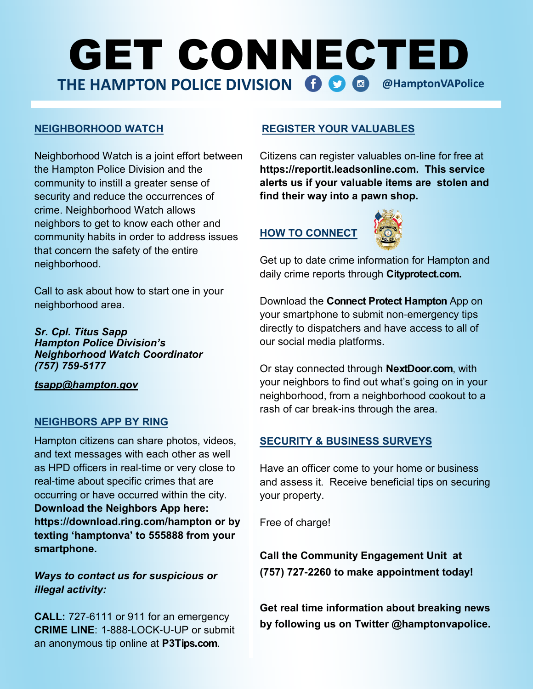# GET CONNECTED **THE HAMPTON POLICE DIVISION 6 8 @HamptonVAPolice**

#### **NEIGHBORHOOD WATCH**

Neighborhood Watch is a joint effort between the Hampton Police Division and the community to instill a greater sense of security and reduce the occurrences of crime. Neighborhood Watch allows neighbors to get to know each other and community habits in order to address issues that concern the safety of the entire neighborhood.

Call to ask about how to start one in your neighborhood area.

#### *Sr. Cpl. Titus Sapp Hampton Police Division's Neighborhood Watch Coordinator (757) 759***-***5177*

*tsapp@hampton.gov*

#### **NEIGHBORS APP BY RING**

Hampton citizens can share photos, videos, and text messages with each other as well as HPD officers in real-time or very close to real-time about specific crimes that are occurring or have occurred within the city. **Download the Neighbors App here: https://download.ring.com/hampton or by texting 'hamptonva' to 555888 from your smartphone.**

#### *Ways to contact us for suspicious or illegal activity:*

**CALL:** 727-6111 or 911 for an emergency **CRIME LINE**: 1-888-LOCK-U-UP or submit an anonymous tip online at **P3Tips.com**.

#### **REGISTER YOUR VALUABLES**

Citizens can register valuables on-line for free at **https://reportit.leadsonline.com. This service alerts us if your valuable items are stolen and find their way into a pawn shop.**

### **HOW TO CONNECT**



Get up to date crime information for Hampton and daily crime reports through **Cityprotect.com.** 

Download the **Connect Protect Hampton** App on your smartphone to submit non-emergency tips directly to dispatchers and have access to all of our social media platforms.

Or stay connected through **NextDoor.com**, with your neighbors to find out what's going on in your neighborhood, from a neighborhood cookout to a rash of car break-ins through the area.

#### **SECURITY & BUSINESS SURVEYS**

Have an officer come to your home or business and assess it. Receive beneficial tips on securing your property.

Free of charge!

**Call the Community Engagement Unit at (757) 727-2260 to make appointment today!**

**Get real time information about breaking news by following us on Twitter @hamptonvapolice.**